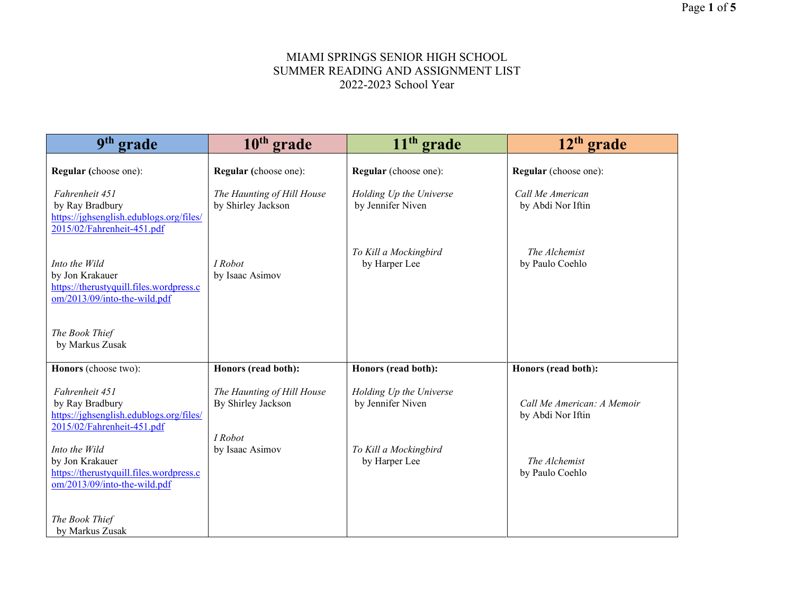| 9 <sup>th</sup> grade                                                                                       | $10th$ grade                                     | $11th$ grade                                 | $12th$ grade                                    |
|-------------------------------------------------------------------------------------------------------------|--------------------------------------------------|----------------------------------------------|-------------------------------------------------|
| Regular (choose one):                                                                                       | Regular (choose one):                            | Regular (choose one):                        | Regular (choose one):                           |
| Fahrenheit 451<br>by Ray Bradbury<br>https://jghsenglish.edublogs.org/files/<br>2015/02/Fahrenheit-451.pdf  | The Haunting of Hill House<br>by Shirley Jackson | Holding Up the Universe<br>by Jennifer Niven | Call Me American<br>by Abdi Nor Iftin           |
| Into the Wild<br>by Jon Krakauer<br>https://therustyquill.files.wordpress.c<br>om/2013/09/into-the-wild.pdf | I Robot<br>by Isaac Asimov                       | To Kill a Mockingbird<br>by Harper Lee       | The Alchemist<br>by Paulo Coehlo                |
| The Book Thief<br>by Markus Zusak                                                                           |                                                  |                                              |                                                 |
| Honors (choose two):                                                                                        | Honors (read both):                              | Honors (read both):                          | Honors (read both):                             |
| Fahrenheit 451<br>by Ray Bradbury<br>https://jghsenglish.edublogs.org/files/<br>2015/02/Fahrenheit-451.pdf  | The Haunting of Hill House<br>By Shirley Jackson | Holding Up the Universe<br>by Jennifer Niven | Call Me American: A Memoir<br>by Abdi Nor Iftin |
| Into the Wild<br>by Jon Krakauer<br>https://therustyquill.files.wordpress.c<br>om/2013/09/into-the-wild.pdf | I Robot<br>by Isaac Asimov                       | To Kill a Mockingbird<br>by Harper Lee       | The Alchemist<br>by Paulo Coehlo                |
| The Book Thief<br>by Markus Zusak                                                                           |                                                  |                                              |                                                 |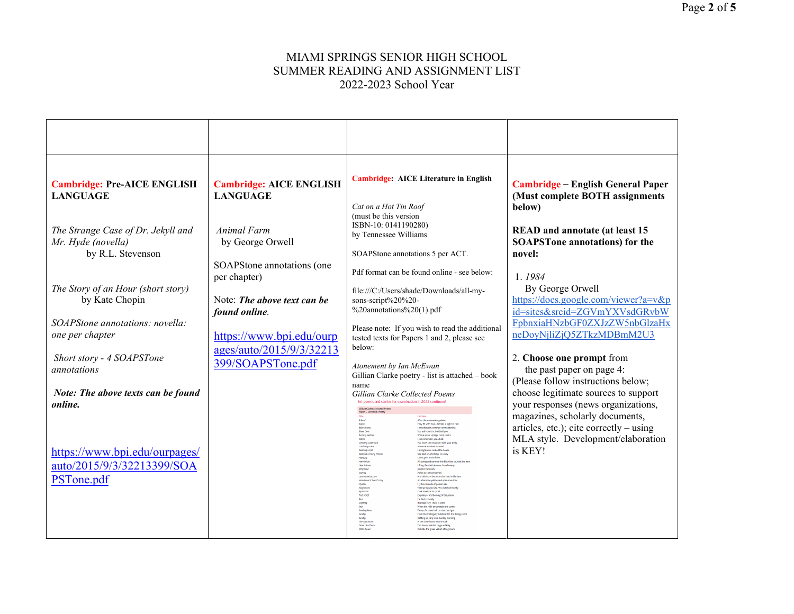| <b>Cambridge: Pre-AICE ENGLISH</b>                                        | <b>Cambridge: AICE ENGLISH</b>                | <b>Cambridge: AICE Literature in English</b>                                                                                                                                                                                                                                                                                                                                                                                                                                                                                                                                                                                                                                                                                                                                                                                                                                                                                                                                                                                                                                                                                                                                                                                                                                                                   | Cambridge – English General Paper                                                                                                                                                                   |
|---------------------------------------------------------------------------|-----------------------------------------------|----------------------------------------------------------------------------------------------------------------------------------------------------------------------------------------------------------------------------------------------------------------------------------------------------------------------------------------------------------------------------------------------------------------------------------------------------------------------------------------------------------------------------------------------------------------------------------------------------------------------------------------------------------------------------------------------------------------------------------------------------------------------------------------------------------------------------------------------------------------------------------------------------------------------------------------------------------------------------------------------------------------------------------------------------------------------------------------------------------------------------------------------------------------------------------------------------------------------------------------------------------------------------------------------------------------|-----------------------------------------------------------------------------------------------------------------------------------------------------------------------------------------------------|
| <b>LANGUAGE</b>                                                           | <b>LANGUAGE</b>                               | Cat on a Hot Tin Roof<br>(must be this version)                                                                                                                                                                                                                                                                                                                                                                                                                                                                                                                                                                                                                                                                                                                                                                                                                                                                                                                                                                                                                                                                                                                                                                                                                                                                | (Must complete BOTH assignments<br>below)                                                                                                                                                           |
| The Strange Case of Dr. Jekyll and<br>Mr. Hyde (novella)                  | Animal Farm<br>by George Orwell               | ISBN-10: 0141190280)<br>by Tennessee Williams                                                                                                                                                                                                                                                                                                                                                                                                                                                                                                                                                                                                                                                                                                                                                                                                                                                                                                                                                                                                                                                                                                                                                                                                                                                                  | <b>READ</b> and annotate (at least 15<br><b>SOAPSTone annotations</b> ) for the                                                                                                                     |
| by R.L. Stevenson                                                         | SOAPStone annotations (one<br>per chapter)    | SOAPStone annotations 5 per ACT.<br>Pdf format can be found online - see below:                                                                                                                                                                                                                                                                                                                                                                                                                                                                                                                                                                                                                                                                                                                                                                                                                                                                                                                                                                                                                                                                                                                                                                                                                                | novel:<br>1.1984                                                                                                                                                                                    |
| The Story of an Hour (short story)<br>by Kate Chopin                      | Note: The above text can be<br>found online.  | file:///C:/Users/shade/Downloads/all-my-<br>sons-script%20%20-<br>%20annotations%20(1).pdf                                                                                                                                                                                                                                                                                                                                                                                                                                                                                                                                                                                                                                                                                                                                                                                                                                                                                                                                                                                                                                                                                                                                                                                                                     | By George Orwell<br>https://docs.google.com/viewer?a=v&p<br>id=sites&srcid=ZGVmYXVsdGRvbW                                                                                                           |
| SOAPStone annotations: novella:<br>one per chapter                        | https://www.bpi.edu/ourp                      | Please note: If you wish to read the additional<br>tested texts for Papers 1 and 2, please see                                                                                                                                                                                                                                                                                                                                                                                                                                                                                                                                                                                                                                                                                                                                                                                                                                                                                                                                                                                                                                                                                                                                                                                                                 | FpbnxiaHNzbGF0ZXJzZW5nbGlzaHx<br>neDoyNjliZjQ5ZTkzMDBmM2U3                                                                                                                                          |
| Short story - 4 SOAPSTone<br>annotations                                  | ages/auto/2015/9/3/32213<br>399/SOAPSTone.pdf | below:<br>Atonement by Ian McEwan<br>Gillian Clarke poetry - list is attached - book                                                                                                                                                                                                                                                                                                                                                                                                                                                                                                                                                                                                                                                                                                                                                                                                                                                                                                                                                                                                                                                                                                                                                                                                                           | 2. Choose one prompt from<br>the past paper on page 4:                                                                                                                                              |
| Note: The above texts can be found<br>online.                             |                                               | name<br>Gillian Clarke Collected Poems<br>Set poems and stories for examination in 2022 continued<br>Gillian Clarke: Selected Poems<br>Paper 1, Section B Poetry<br>After the wideawake galaxies<br>They fill with heat, dewfall, a night of rai<br>Baby-sitting<br>Blaen Cent<br>I am sitting in a strange room list<br>You ask how it is. I will tell you.<br>Barning Nettle<br>Where water springs, pools, wal                                                                                                                                                                                                                                                                                                                                                                                                                                                                                                                                                                                                                                                                                                                                                                                                                                                                                              | (Please follow instructions below;<br>choose legitimate sources to support<br>your responses (news organizations,<br>magazines, scholarly documents,<br>articles, etc.); cite correctly $-\,$ using |
| https://www.bpi.edu/ourpages/<br>auto/2015/9/3/32213399/SOA<br>PSTone.pdf |                                               | Catrin<br>I can remember you, child,<br>Climbing Cader (dr)<br>You know the mountain with your body<br>Cold Knap Lake<br>We once watched a crowd<br>Death of a Cat<br>His nightmare rocked the house<br>She died on a hot day. In a way<br>Death of a Young Woma<br>Lamb-grief in the fields<br>February<br>Hare in July<br>All spring and summer the bitch has courted the hare<br>Hearthstone<br>Lifting the slab takes our breath away.<br>kthyosau<br>Jurassic travellers<br>As far as I am concerned<br>journey<br>Lunchtime Lecture<br>And this from the second or third millenium<br>Mitacle on St David's Day<br>An afternoon yellow and open-mouther<br>My box is made of golden oak<br>MyBox<br>Neighbour<br>That spring was late. We watched the sky<br>Dusk unwinds its spool<br>Apistratia<br>Post Script<br>Epiphany - and burning of the poem<br>He died privately.<br>Ram<br>It is blue May. There is work<br>Scything<br>When the milk-arrow stabs she come<br><b>Staalise Aux</b><br>Tamp of a claan hall on stratchad out<br>Sunday<br>From the mahogany sideboard in the dining-roo<br>Getting up early on a Sunday morning<br>landay<br>The Lighthous<br>In the clean house on the rock<br>Too heavy-hearted to go walking<br>Times I is a Those<br>Cutside the green velvet sitting roor | MLA style. Development/elaboration<br>is KEY!                                                                                                                                                       |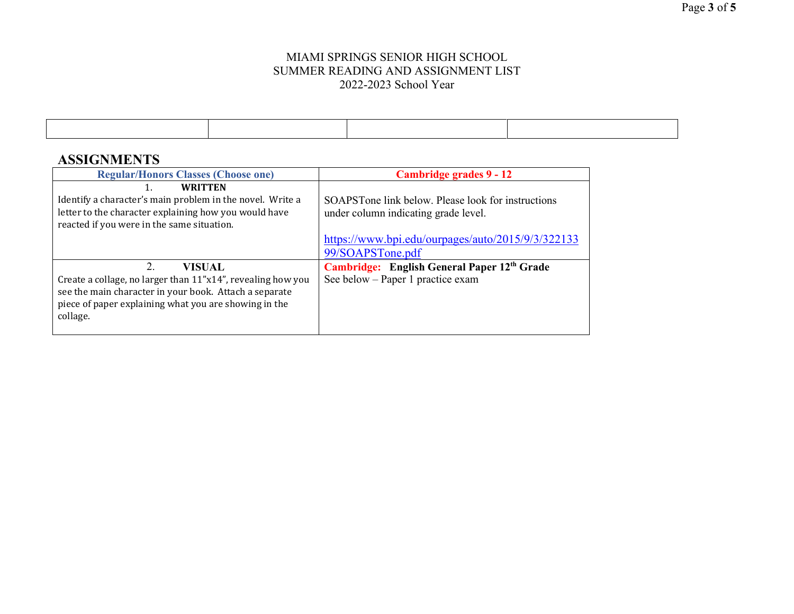# **ASSIGNMENTS**

| <b>Regular/Honors Classes (Choose one)</b>                                                                                                                                                                 | Cambridge grades 9 - 12                                                                    |
|------------------------------------------------------------------------------------------------------------------------------------------------------------------------------------------------------------|--------------------------------------------------------------------------------------------|
| <b>WRITTEN</b><br>Identify a character's main problem in the novel. Write a<br>letter to the character explaining how you would have<br>reacted if you were in the same situation.                         | SOAPSTone link below. Please look for instructions<br>under column indicating grade level. |
|                                                                                                                                                                                                            | https://www.bpi.edu/ourpages/auto/2015/9/3/322133<br>99/SOAPSTone.pdf                      |
| 2.<br>VISUAL<br>Create a collage, no larger than 11"x14", revealing how you<br>see the main character in your book. Attach a separate<br>piece of paper explaining what you are showing in the<br>collage. | Cambridge: English General Paper 12th Grade<br>See below - Paper 1 practice exam           |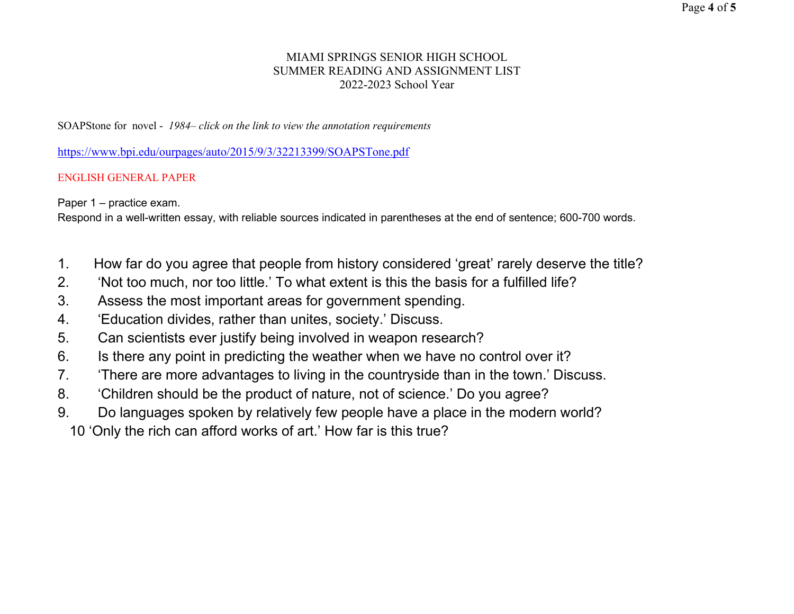SOAPStone for novel - *1984– click on the link to view the annotation requirements*

<https://www.bpi.edu/ourpages/auto/2015/9/3/32213399/SOAPSTone.pdf>

## ENGLISH GENERAL PAPER

Paper 1 – practice exam.

Respond in a well-written essay, with reliable sources indicated in parentheses at the end of sentence; 600-700 words.

- 1. How far do you agree that people from history considered 'great' rarely deserve the title?
- 2. 'Not too much, nor too little.' To what extent is this the basis for a fulfilled life?
- 3. Assess the most important areas for government spending.
- 4. 'Education divides, rather than unites, society.' Discuss.
- 5. Can scientists ever justify being involved in weapon research?
- 6. Is there any point in predicting the weather when we have no control over it?
- 7. 'There are more advantages to living in the countryside than in the town.' Discuss.
- 8. 'Children should be the product of nature, not of science.' Do you agree?
- 9. Do languages spoken by relatively few people have a place in the modern world?
	- 10 'Only the rich can afford works of art.' How far is this true?